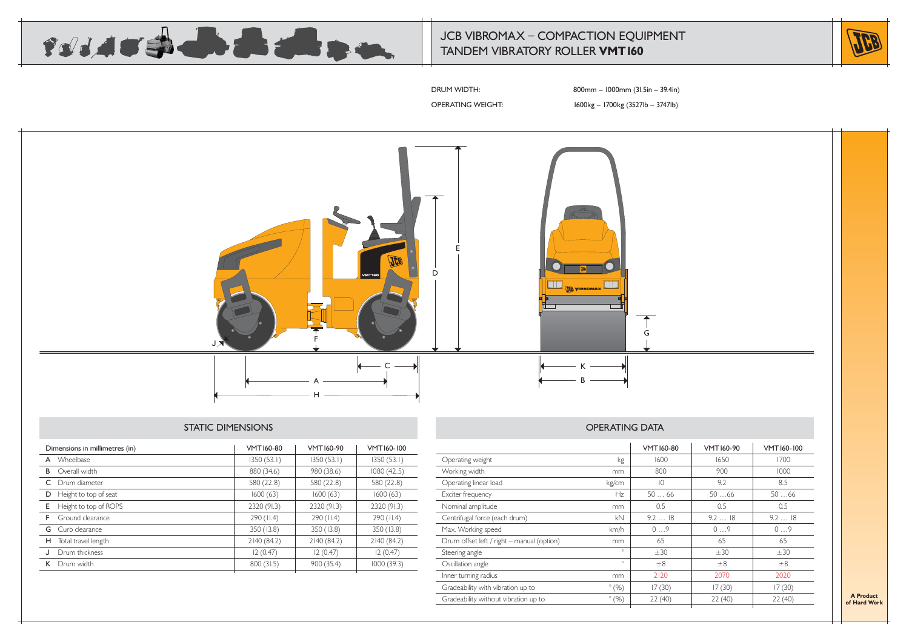

## JCB VIBROMAX – COMPACTION EQUIPMENT TANDEM VIBRATORY ROLLER **VMT160**



DRUM WIDTH: 800mm – 1000mm (31.5in – 39.4in)

OPERATING WEIGHT: 1600kg – 1700kg (3527lb – 3747lb)



#### STATIC DIMENSIONS

| Dimensions in millimetres (in) |                         | VMT160-80   | VMT160-90   | VMT160-100  |
|--------------------------------|-------------------------|-------------|-------------|-------------|
| A                              | Wheelbase               | 1350(53.1)  | 1350(53.1)  | 1350(53.1)  |
| B                              | Overall width           | 880 (34.6)  | 980 (38.6)  | 1080 (42.5) |
|                                | C Drum diameter         | 580 (22.8)  | 580 (22.8)  | 580 (22.8)  |
| D                              | Height to top of seat   | 1600(63)    | 1600(63)    | 1600(63)    |
| E                              | Height to top of ROPS   | 2320 (91.3) | 2320 (91.3) | 2320 (91.3) |
| F.                             | Ground clearance        | 290 (II.4)  | 290 (II.4)  | 290 (II.4)  |
|                                | <b>G</b> Curb clearance | 350 (13.8)  | 350 (13.8)  | 350 (13.8)  |
| н                              | Total travel length     | 2140 (84.2) | 2140 (84.2) | 2140 (84.2) |
|                                | Drum thickness          | 12(0.47)    | 12(0.47)    | 12(0.47)    |
|                                | K Drum width            | 800 (31.5)  | 900 (35.4)  | 1000(39.3)  |
|                                |                         |             |             |             |

|                                            |               | <b>VMT160-80</b> | VMT160-90 | VMT160-100 |
|--------------------------------------------|---------------|------------------|-----------|------------|
| Operating weight                           | kg            | 1600             | 1650      | 1700       |
| Working width                              | mm            | 800              | 900       | 1000       |
| Operating linear load                      | kg/cm         | $\overline{10}$  | 9.2       | 8.5        |
| Exciter frequency                          | Hz            | 5066             | 5066      | 5066       |
| Nominal amplitude                          | mm            | 0.5              | 0.5       | 0.5        |
| Centrifugal force (each drum)              | kN            | 9.218            | 9.218     | 9.218      |
| Max. Working speed                         | km/h          | 09               | 09        | 09         |
| Drum offset left / right - manual (option) | mm            | 65               | 65        | 65         |
| Steering angle                             | $\circ$       | ±30              | ±30       | ±30        |
| Oscillation angle                          | $\circ$       | $\pm 8$          | $\pm 8$   | $\pm 8$    |
| Inner turning radius                       | mm            | 2120             | 2070      | 2020       |
| Gradeability with vibration up to          | $\degree$ (%) | 17(30)           | 17(30)    | 17(30)     |
| Gradeability without vibration up to       | $\degree$ (%) | 22(40)           | 22(40)    | 22(40)     |
|                                            |               |                  |           |            |

**A Product of Hard Work**